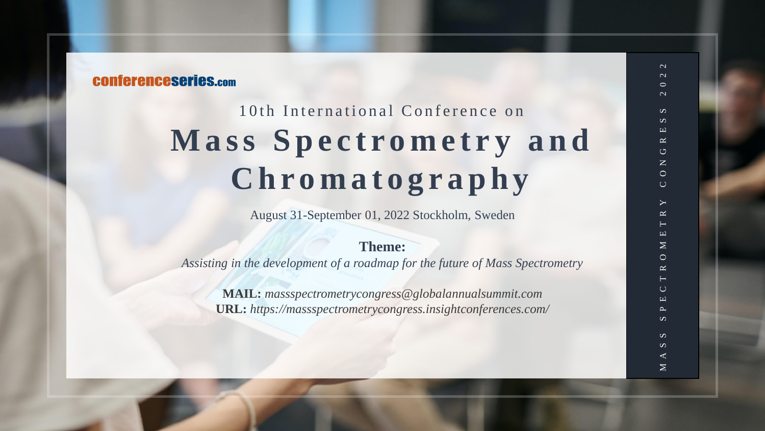## **CONferenceseries.com**

# 10th International Conference on **Mass Spectrometry and C h r o m a t o g r a p h y**

August 31-September 01, 2022 Stockholm, Sweden

#### **Theme:**

*Assisting in the development of a roadmap for the future of Mass Spectrometry*

**MAIL:** *massspectrometrycongress@globalannualsummit.com* **URL:** *https://massspectrometrycongress.insightconferences.com/*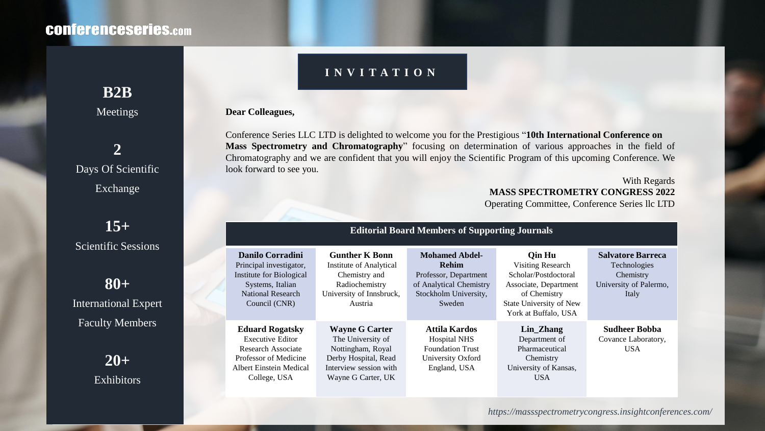## **CONferenceseries.com**

### **I N V I T A T I O N**

#### **Dear Colleagues,**

Conference Series LLC LTD is delighted to welcome you for the Prestigious "**10th International Conference on Mass Spectrometry and Chromatography**" focusing on determination of various approaches in the field of Chromatography and we are confident that you will enjoy the Scientific Program of this upcoming Conference. We look forward to see you.

With Regards **MASS SPECTROMETRY CONGRESS 2022** Operating Committee, Conference Series llc LTD

| <b>Editorial Board Members of Supporting Journals</b>                                                                                       |                                                                                                                                         |                                                                                                                              |                                                                                                                                                 |                                                                                          |
|---------------------------------------------------------------------------------------------------------------------------------------------|-----------------------------------------------------------------------------------------------------------------------------------------|------------------------------------------------------------------------------------------------------------------------------|-------------------------------------------------------------------------------------------------------------------------------------------------|------------------------------------------------------------------------------------------|
| Danilo Corradini<br>Principal investigator,<br>Institute for Biological<br>Systems, Italian<br>National Research<br>Council (CNR)           | <b>Gunther K Bonn</b><br><b>Institute of Analytical</b><br>Chemistry and<br>Radiochemistry<br>University of Innsbruck,<br>Austria       | <b>Mohamed Abdel-</b><br><b>Rehim</b><br>Professor, Department<br>of Analytical Chemistry<br>Stockholm University,<br>Sweden | Oin Hu<br>Visiting Research<br>Scholar/Postdoctoral<br>Associate, Department<br>of Chemistry<br>State University of New<br>York at Buffalo, USA | <b>Salvatore Barreca</b><br>Technologies<br>Chemistry<br>University of Palermo,<br>Italy |
| <b>Eduard Rogatsky</b><br><b>Executive Editor</b><br>Research Associate<br>Professor of Medicine<br>Albert Einstein Medical<br>College, USA | <b>Wayne G Carter</b><br>The University of<br>Nottingham, Royal<br>Derby Hospital, Read<br>Interview session with<br>Wayne G Carter, UK | Attila Kardos<br><b>Hospital NHS</b><br><b>Foundation Trust</b><br>University Oxford<br>England, USA                         | Lin_Zhang<br>Department of<br>Pharmaceutical<br>Chemistry<br>University of Kansas,<br><b>USA</b>                                                | <b>Sudheer Bobba</b><br>Covance Laboratory,<br>USA.                                      |

**B2B** Meetings

**2** Days Of Scientific Exchange

**15+** Scientific Sessions

**80+** International Expert Faculty Members

> **20+ Exhibitors**

> > *https://massspectrometrycongress.insightconferences.com/*